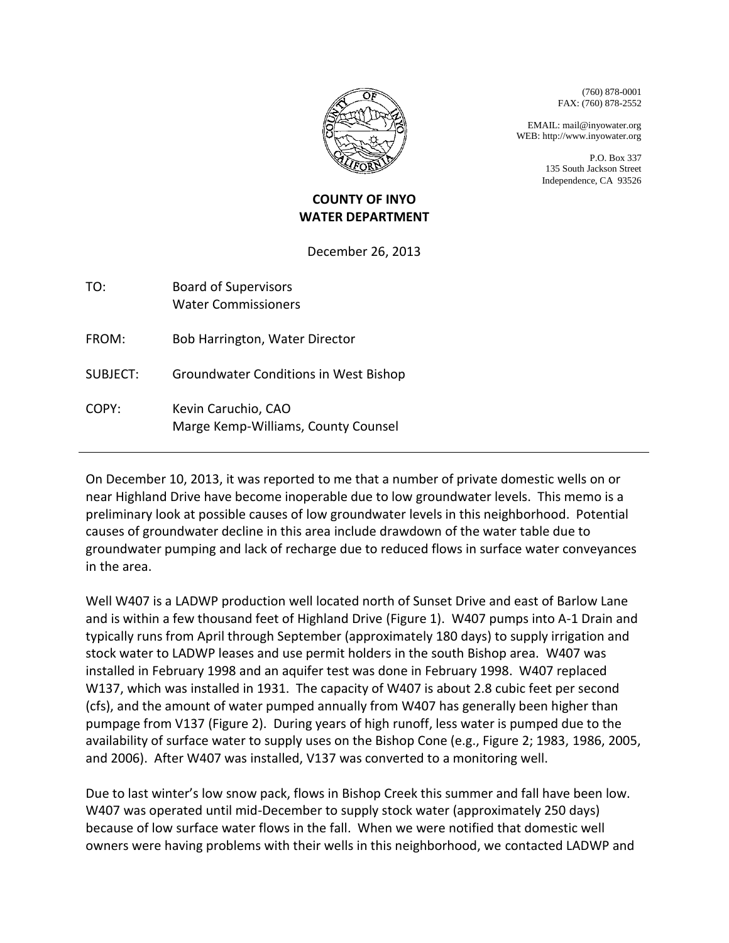

(760) 878-0001 FAX: (760) 878-2552

EMAIL: mail@inyowater.org WEB: http://www.inyowater.org

> P.O. Box 337 135 South Jackson Street Independence, CA 93526

## **COUNTY OF INYO WATER DEPARTMENT**

December 26, 2013

| TO: | <b>Board of Supervisors</b> |
|-----|-----------------------------|
|     | <b>Water Commissioners</b>  |

FROM: Bob Harrington, Water Director

SUBJECT: Groundwater Conditions in West Bishop

COPY: Kevin Caruchio, CAO Marge Kemp-Williams, County Counsel

On December 10, 2013, it was reported to me that a number of private domestic wells on or near Highland Drive have become inoperable due to low groundwater levels. This memo is a preliminary look at possible causes of low groundwater levels in this neighborhood. Potential causes of groundwater decline in this area include drawdown of the water table due to groundwater pumping and lack of recharge due to reduced flows in surface water conveyances in the area.

Well W407 is a LADWP production well located north of Sunset Drive and east of Barlow Lane and is within a few thousand feet of Highland Drive (Figure 1). W407 pumps into A-1 Drain and typically runs from April through September (approximately 180 days) to supply irrigation and stock water to LADWP leases and use permit holders in the south Bishop area. W407 was installed in February 1998 and an aquifer test was done in February 1998. W407 replaced W137, which was installed in 1931. The capacity of W407 is about 2.8 cubic feet per second (cfs), and the amount of water pumped annually from W407 has generally been higher than pumpage from V137 (Figure 2). During years of high runoff, less water is pumped due to the availability of surface water to supply uses on the Bishop Cone (e.g., Figure 2; 1983, 1986, 2005, and 2006). After W407 was installed, V137 was converted to a monitoring well.

Due to last winter's low snow pack, flows in Bishop Creek this summer and fall have been low. W407 was operated until mid-December to supply stock water (approximately 250 days) because of low surface water flows in the fall. When we were notified that domestic well owners were having problems with their wells in this neighborhood, we contacted LADWP and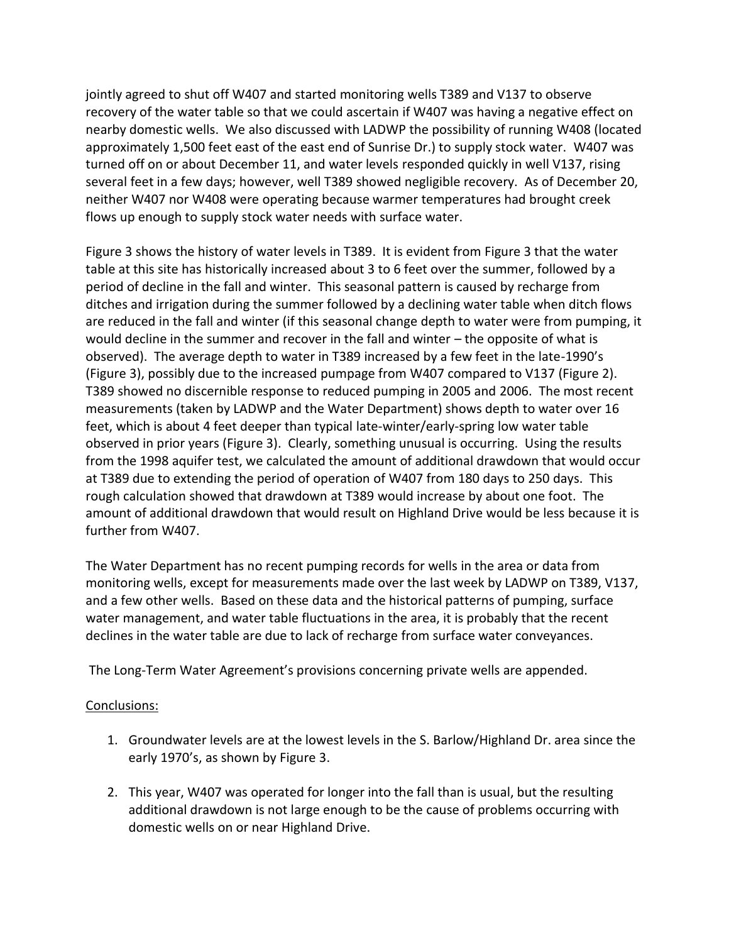jointly agreed to shut off W407 and started monitoring wells T389 and V137 to observe recovery of the water table so that we could ascertain if W407 was having a negative effect on nearby domestic wells. We also discussed with LADWP the possibility of running W408 (located approximately 1,500 feet east of the east end of Sunrise Dr.) to supply stock water. W407 was turned off on or about December 11, and water levels responded quickly in well V137, rising several feet in a few days; however, well T389 showed negligible recovery. As of December 20, neither W407 nor W408 were operating because warmer temperatures had brought creek flows up enough to supply stock water needs with surface water.

Figure 3 shows the history of water levels in T389. It is evident from Figure 3 that the water table at this site has historically increased about 3 to 6 feet over the summer, followed by a period of decline in the fall and winter. This seasonal pattern is caused by recharge from ditches and irrigation during the summer followed by a declining water table when ditch flows are reduced in the fall and winter (if this seasonal change depth to water were from pumping, it would decline in the summer and recover in the fall and winter – the opposite of what is observed). The average depth to water in T389 increased by a few feet in the late-1990's (Figure 3), possibly due to the increased pumpage from W407 compared to V137 (Figure 2). T389 showed no discernible response to reduced pumping in 2005 and 2006. The most recent measurements (taken by LADWP and the Water Department) shows depth to water over 16 feet, which is about 4 feet deeper than typical late-winter/early-spring low water table observed in prior years (Figure 3). Clearly, something unusual is occurring. Using the results from the 1998 aquifer test, we calculated the amount of additional drawdown that would occur at T389 due to extending the period of operation of W407 from 180 days to 250 days. This rough calculation showed that drawdown at T389 would increase by about one foot. The amount of additional drawdown that would result on Highland Drive would be less because it is further from W407.

The Water Department has no recent pumping records for wells in the area or data from monitoring wells, except for measurements made over the last week by LADWP on T389, V137, and a few other wells. Based on these data and the historical patterns of pumping, surface water management, and water table fluctuations in the area, it is probably that the recent declines in the water table are due to lack of recharge from surface water conveyances.

The Long-Term Water Agreement's provisions concerning private wells are appended.

## Conclusions:

- 1. Groundwater levels are at the lowest levels in the S. Barlow/Highland Dr. area since the early 1970's, as shown by Figure 3.
- 2. This year, W407 was operated for longer into the fall than is usual, but the resulting additional drawdown is not large enough to be the cause of problems occurring with domestic wells on or near Highland Drive.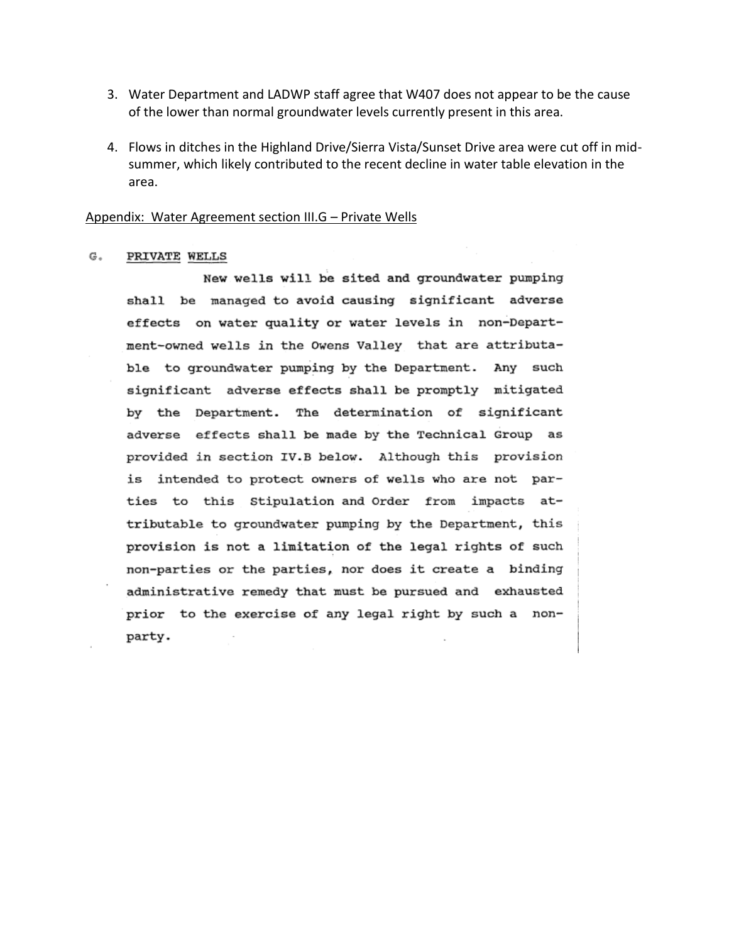- 3. Water Department and LADWP staff agree that W407 does not appear to be the cause of the lower than normal groundwater levels currently present in this area.
- 4. Flows in ditches in the Highland Drive/Sierra Vista/Sunset Drive area were cut off in midsummer, which likely contributed to the recent decline in water table elevation in the area.

## Appendix: Water Agreement section III.G – Private Wells

## G. PRIVATE WELLS

New wells will be sited and groundwater pumping shall be managed to avoid causing significant adverse effects on water quality or water levels in non-Department-owned wells in the Owens Valley that are attributable to groundwater pumping by the Department. Any such significant adverse effects shall be promptly mitigated by the Department. The determination of significant adverse effects shall be made by the Technical Group as provided in section IV.B below. Although this provision is intended to protect owners of wells who are not parties to this Stipulation and Order from impacts attributable to groundwater pumping by the Department, this provision is not a limitation of the legal rights of such non-parties or the parties, nor does it create a binding administrative remedy that must be pursued and exhausted prior to the exercise of any legal right by such a nonparty.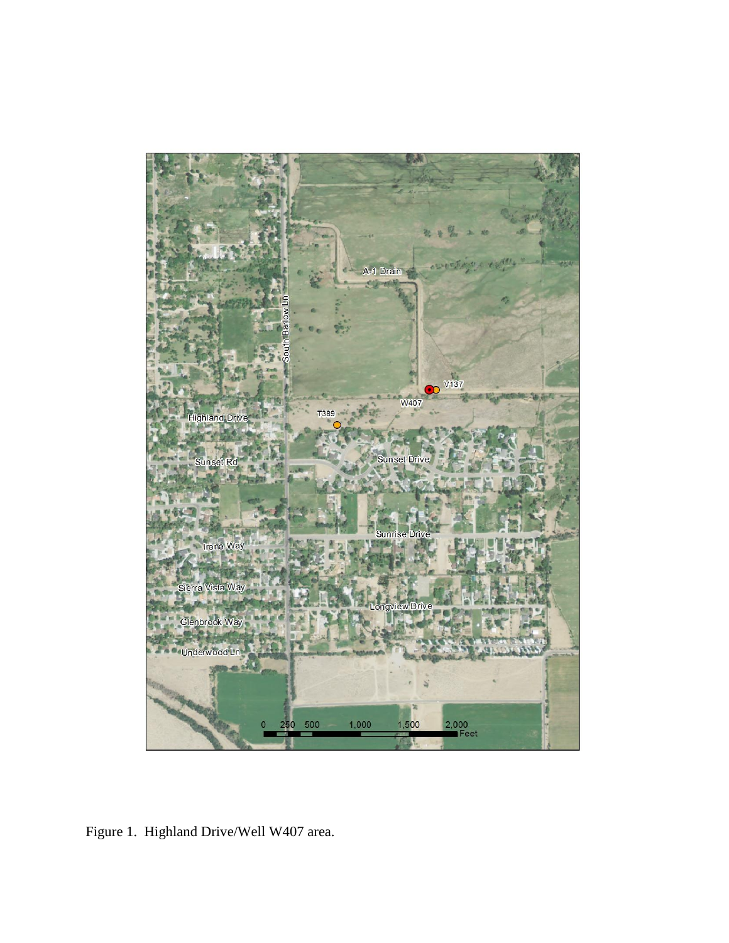

Figure 1. Highland Drive/Well W407 area.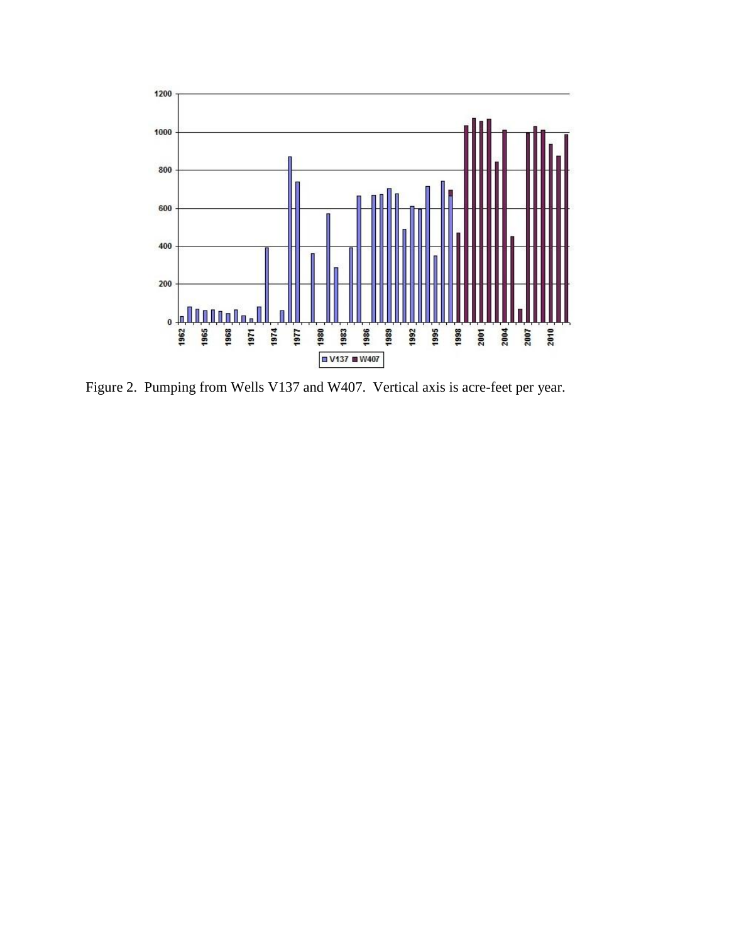

Figure 2. Pumping from Wells V137 and W407. Vertical axis is acre-feet per year.